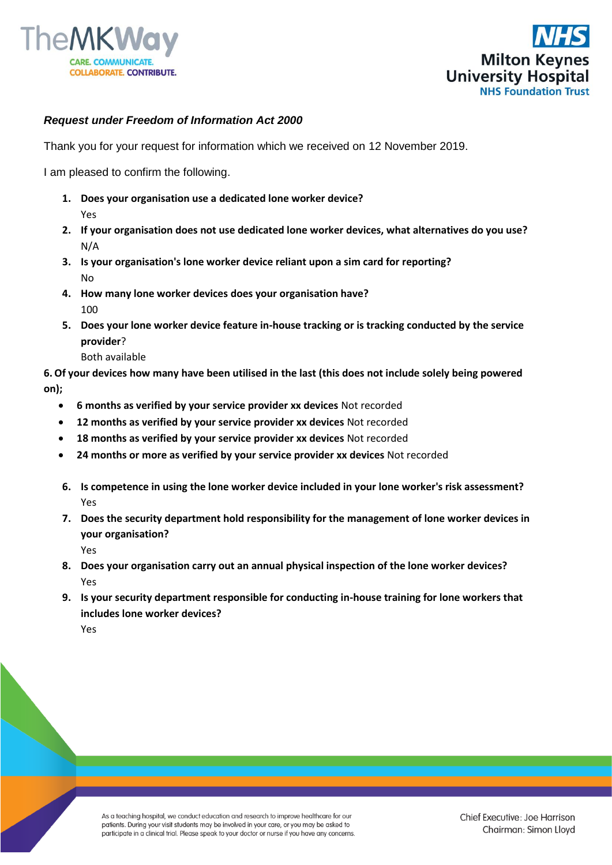



## *Request under Freedom of Information Act 2000*

Thank you for your request for information which we received on 12 November 2019.

I am pleased to confirm the following.

- **1. Does your organisation use a dedicated lone worker device?** Yes
- **2. If your organisation does not use dedicated lone worker devices, what alternatives do you use?** N/A
- **3. Is your organisation's lone worker device reliant upon a sim card for reporting?** No
- **4. How many lone worker devices does your organisation have?** 100
- **5. Does your lone worker device feature in-house tracking or is tracking conducted by the service provider**?
	- Both available

**6.Of your devices how many have been utilised in the last (this does not include solely being powered on);**

- **6 months as verified by your service provider xx devices** Not recorded
- **12 months as verified by your service provider xx devices** Not recorded
- **18 months as verified by your service provider xx devices** Not recorded
- **24 months or more as verified by your service provider xx devices** Not recorded
- **6. Is competence in using the lone worker device included in your lone worker's risk assessment?** Yes
- **7. Does the security department hold responsibility for the management of lone worker devices in your organisation?**

Yes

- **8. Does your organisation carry out an annual physical inspection of the lone worker devices?** Yes
- **9. Is your security department responsible for conducting in-house training for lone workers that includes lone worker devices?**

Yes

As a teaching hospital, we conduct education and research to improve healthcare for our patients. During your visit students may be involved in your care, or you may be asked to participate in a clinical trial. Please speak to your doctor or nurse if you have any concerns.